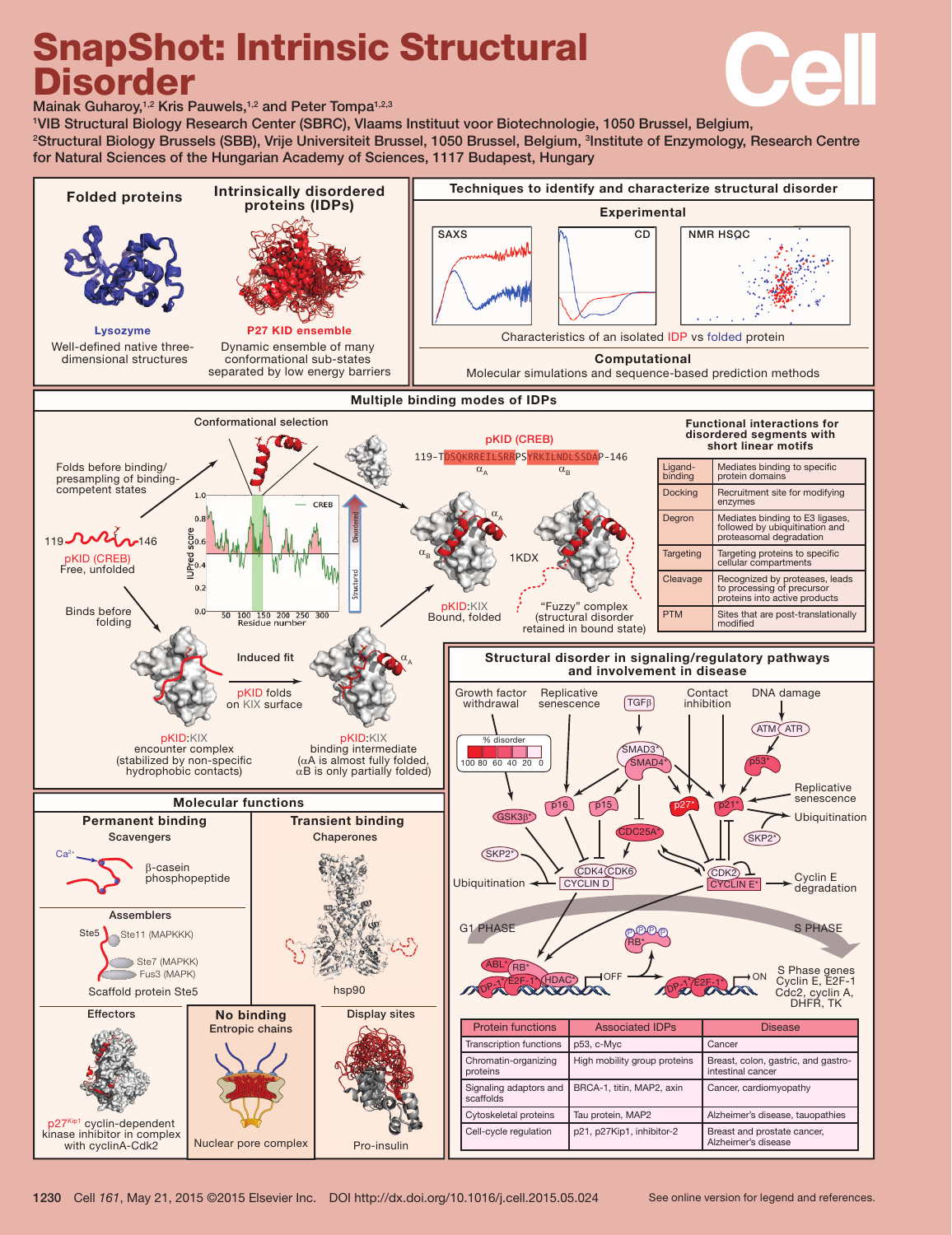# SnapShot: Intrinsic Structural Disorder



Mainak Guharoy,<sup>1,2</sup> Kris Pauwels,<sup>1,2</sup> and Peter Tompa<sup>1,2,3</sup>

1 VIB Structural Biology Research Center (SBRC), Vlaams Instituut voor Biotechnologie, 1050 Brussel, Belgium, 2 Structural Biology Brussels (SBB), Vrije Universiteit Brussel, 1050 Brussel, Belgium, 3 Institute of Enzymology, Research Centre for Natural Sciences of the Hungarian Academy of Sciences, 1117 Budapest, Hungary